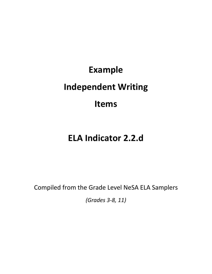## **Example Independent Writing Items**

## **ELA Indicator 2.2.d**

Compiled from the Grade Level NeSA ELA Samplers

*(Grades 3-8, 11)*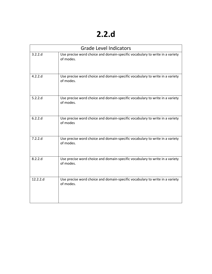## **2.2.d**

| <b>Grade Level Indicators</b> |                                                                                           |  |  |
|-------------------------------|-------------------------------------------------------------------------------------------|--|--|
| 3.2.2.d                       | Use precise word choice and domain-specific vocabulary to write in a variety<br>of modes. |  |  |
| 4.2.2.d                       | Use precise word choice and domain-specific vocabulary to write in a variety<br>of modes. |  |  |
| 5.2.2.d                       | Use precise word choice and domain-specific vocabulary to write in a variety<br>of modes. |  |  |
| 6.2.2.d                       | Use precise word choice and domain-specific vocabulary to write in a variety<br>of modes  |  |  |
| 7.2.2.d                       | Use precise word choice and domain-specific vocabulary to write in a variety<br>of modes. |  |  |
| 8.2.2.d                       | Use precise word choice and domain-specific vocabulary to write in a variety<br>of modes. |  |  |
| 12.2.2.d                      | Use precise word choice and domain-specific vocabulary to write in a variety<br>of modes. |  |  |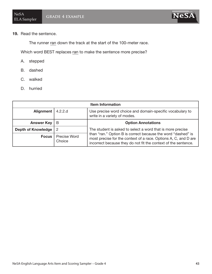## 19. Read the sentence.

The runner ran down the track at the start of the 100-meter race.

Which word BEST replaces ran to make the sentence more precise?

- A. stepped
- B. dashed
- C. walked
- D. hurried

| <b>Item Information</b>   |                        |                                                                                                                                                                                                                                                                 |  |  |  |
|---------------------------|------------------------|-----------------------------------------------------------------------------------------------------------------------------------------------------------------------------------------------------------------------------------------------------------------|--|--|--|
| Alignment                 | 4.2.2.d                | Use precise word choice and domain-specific vocabulary to<br>write in a variety of modes.                                                                                                                                                                       |  |  |  |
| <b>Answer Key</b>         | B                      | <b>Option Annotations</b>                                                                                                                                                                                                                                       |  |  |  |
| <b>Depth of Knowledge</b> | -2                     | The student is asked to select a word that is more precise<br>than "ran." Option B is correct because the word "dashed" is<br>most precise for the context of a race. Options A, C, and D are<br>incorrect because they do not fit the context of the sentence. |  |  |  |
| <b>Focus</b>              | Precise Word<br>Choice |                                                                                                                                                                                                                                                                 |  |  |  |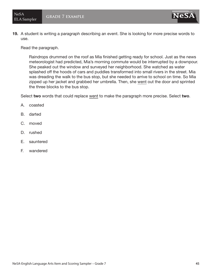19. A student is writing a paragraph describing an event. She is looking for more precise words to use.

Read the paragraph.

Raindrops drummed on the roof as Mia finished getting ready for school. Just as the news meteorologist had predicted, Mia's morning commute would be interrupted by a downpour. She peaked out the window and surveyed her neighborhood. She watched as water splashed off the hoods of cars and puddles transformed into small rivers in the street. Mia was dreading the walk to the bus stop, but she needed to arrive to school on time. So Mia zipped up her jacket and grabbed her umbrella. Then, she went out the door and sprinted the three blocks to the bus stop.

Select two words that could replace went to make the paragraph more precise. Select two.

- A. coasted
- B. darted
- C. moved
- D. rushed
- E. sauntered
- F. wandered

**NeS**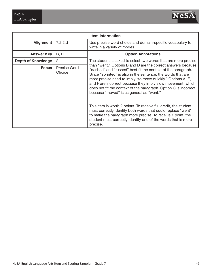

| <b>Item Information</b>   |                        |                                                                                                                                                                                                                                                                                                                                                                                                                                                                                                                                                                                                                                                                                                                            |  |  |  |
|---------------------------|------------------------|----------------------------------------------------------------------------------------------------------------------------------------------------------------------------------------------------------------------------------------------------------------------------------------------------------------------------------------------------------------------------------------------------------------------------------------------------------------------------------------------------------------------------------------------------------------------------------------------------------------------------------------------------------------------------------------------------------------------------|--|--|--|
| <b>Alignment</b>          | 7.2.2.d                | Use precise word choice and domain-specific vocabulary to<br>write in a variety of modes.                                                                                                                                                                                                                                                                                                                                                                                                                                                                                                                                                                                                                                  |  |  |  |
| <b>Answer Key</b>         | B, D                   | <b>Option Annotations</b>                                                                                                                                                                                                                                                                                                                                                                                                                                                                                                                                                                                                                                                                                                  |  |  |  |
| <b>Depth of Knowledge</b> | 2                      | The student is asked to select two words that are more precise                                                                                                                                                                                                                                                                                                                                                                                                                                                                                                                                                                                                                                                             |  |  |  |
| <b>Focus</b>              | Precise Word<br>Choice | than "went." Options B and D are the correct answers because<br>"dashed" and "rushed" best fit the context of the paragraph.<br>Since "sprinted" is also in the sentence, the words that are<br>most precise need to imply "to move quickly." Options A, E,<br>and F are incorrect because they imply slow movement, which<br>does not fit the context of the paragraph. Option C is incorrect<br>because "moved" is as general as "went."<br>This item is worth 2 points. To receive full credit, the student<br>must correctly identify both words that could replace "went"<br>to make the paragraph more precise. To receive 1 point, the<br>student must correctly identify one of the words that is more<br>precise. |  |  |  |